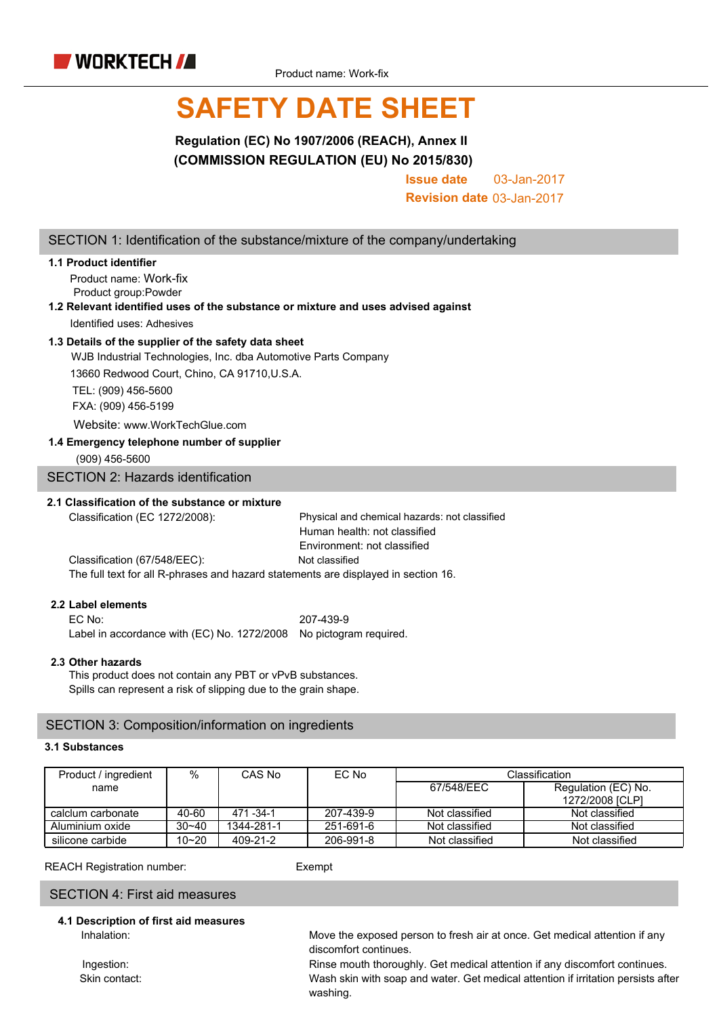

# **SAFETY DATE SHEET**

**Regulation (EC) No 1907/2006 (REACH), Annex II (COMMISSION REGULATION (EU) No 2015/830)**

> **Issue date** 03-Jan-2017

**Revision date** 03-Jan-2017

### SECTION 1: Identification of the substance/mixture of the company/undertaking

### **1.1 Product identifier**

Product name: Work-fix Product group:Powder

### **1.2 Relevant identified uses of the substance or mixture and uses advised against** Identified uses: Adhesives

### **1.3 Details of the supplier of the safety data sheet**

WJB Industrial Technologies, Inc. dba Automotive Parts Company

13660 Redwood Court, Chino, CA 91710,U.S.A.

TEL: (909) 456-5600 FXA: (909) 456-5199

Website: www.WorkTechGlue.com

### **1.4 Emergency telephone number of supplier**

(909) 456-5600

SECTION 2: Hazards identification

### **2.1 Classification of the substance or mixture**

Classification (EC 1272/2008): Physical and chemical hazards: not classified Human health: not classified Environment: not classified Classification (67/548/EEC): Not classified

The full text for all R-phrases and hazard statements are displayed in section 16.

### **2.2 Label elements**

EC No: 207-439-9 Label in accordance with (EC) No. 1272/2008 No pictogram required.

### **2.3 Other hazards**

This product does not contain any PBT or vPvB substances. Spills can represent a risk of slipping due to the grain shape.

### SECTION 3: Composition/information on ingredients

### **3.1 Substances**

| Product / ingredient | %         | CAS No       | EC No     | Classification |                     |  |
|----------------------|-----------|--------------|-----------|----------------|---------------------|--|
| name                 |           |              |           | 67/548/EEC     | Regulation (EC) No. |  |
|                      |           |              |           |                | 1272/2008 [CLP]     |  |
| calclum carbonate    | 40-60     | 471 - 34 - 1 | 207-439-9 | Not classified | Not classified      |  |
| Aluminium oxide      | $30 - 40$ | 1344-281-1   | 251-691-6 | Not classified | Not classified      |  |
| silicone carbide     | $10 - 20$ | 409-21-2     | 206-991-8 | Not classified | Not classified      |  |

REACH Registration number: Exempt

### SECTION 4: First aid measures

## **4.1 Description of first aid measures**

Inhalation: Move the exposed person to fresh air at once. Get medical attention if any discomfort continues.

Ingestion: Rinse mouth thoroughly. Get medical attention if any discomfort continues. Skin contact: Wash skin with soap and water. Get medical attention if irritation persists after washing.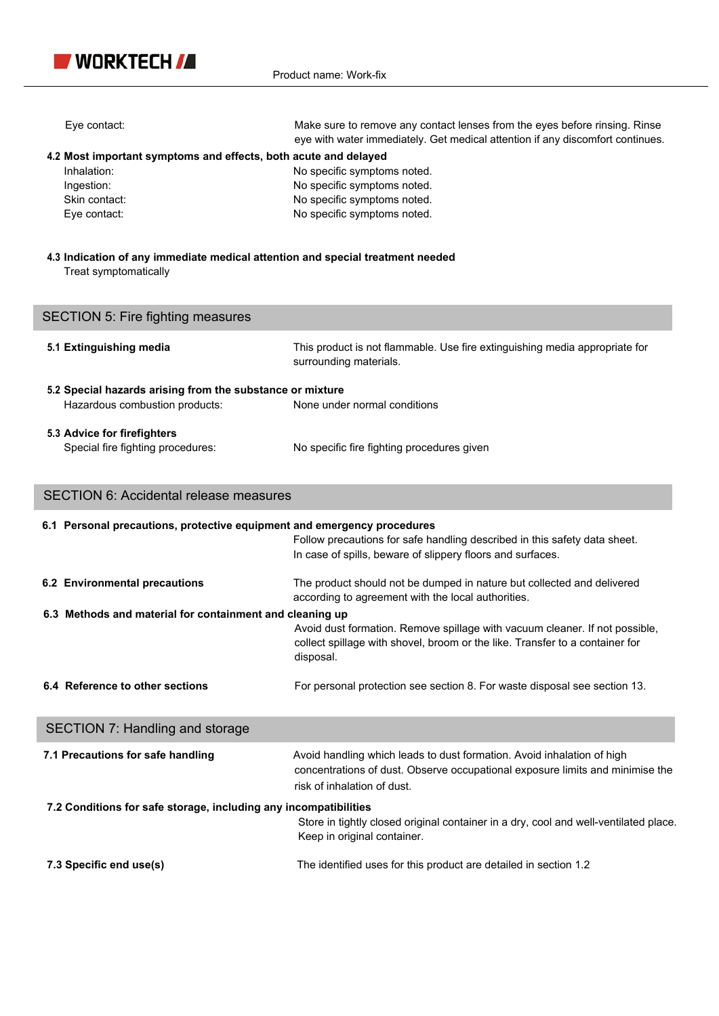

| Eye contact:                                                                                                                  | Make sure to remove any contact lenses from the eyes before rinsing. Rinse<br>eye with water immediately. Get medical attention if any discomfort continues.                           |  |  |  |
|-------------------------------------------------------------------------------------------------------------------------------|----------------------------------------------------------------------------------------------------------------------------------------------------------------------------------------|--|--|--|
| 4.2 Most important symptoms and effects, both acute and delayed<br>Inhalation:<br>Ingestion:<br>Skin contact:<br>Eye contact: | No specific symptoms noted.<br>No specific symptoms noted.<br>No specific symptoms noted.<br>No specific symptoms noted.                                                               |  |  |  |
| 4.3 Indication of any immediate medical attention and special treatment needed<br>Treat symptomatically                       |                                                                                                                                                                                        |  |  |  |
| <b>SECTION 5: Fire fighting measures</b>                                                                                      |                                                                                                                                                                                        |  |  |  |
| 5.1 Extinguishing media                                                                                                       | This product is not flammable. Use fire extinguishing media appropriate for<br>surrounding materials.                                                                                  |  |  |  |
| 5.2 Special hazards arising from the substance or mixture<br>Hazardous combustion products:                                   | None under normal conditions                                                                                                                                                           |  |  |  |
| 5.3 Advice for firefighters<br>Special fire fighting procedures:                                                              | No specific fire fighting procedures given                                                                                                                                             |  |  |  |
| <b>SECTION 6: Accidental release measures</b>                                                                                 |                                                                                                                                                                                        |  |  |  |
| 6.1 Personal precautions, protective equipment and emergency procedures                                                       | Follow precautions for safe handling described in this safety data sheet.<br>In case of spills, beware of slippery floors and surfaces.                                                |  |  |  |
| 6.2 Environmental precautions                                                                                                 | The product should not be dumped in nature but collected and delivered<br>according to agreement with the local authorities.                                                           |  |  |  |
| 6.3 Methods and material for containment and cleaning up                                                                      | Avoid dust formation. Remove spillage with vacuum cleaner. If not possible,<br>collect spillage with shovel, broom or the like. Transfer to a container for                            |  |  |  |
|                                                                                                                               | disposal.                                                                                                                                                                              |  |  |  |
| 6.4 Reference to other sections                                                                                               | For personal protection see section 8. For waste disposal see section 13.                                                                                                              |  |  |  |
| <b>SECTION 7: Handling and storage</b>                                                                                        |                                                                                                                                                                                        |  |  |  |
| 7.1 Precautions for safe handling                                                                                             | Avoid handling which leads to dust formation. Avoid inhalation of high<br>concentrations of dust. Observe occupational exposure limits and minimise the<br>risk of inhalation of dust. |  |  |  |
| 7.2 Conditions for safe storage, including any incompatibilities                                                              | Store in tightly closed original container in a dry, cool and well-ventilated place.<br>Keep in original container.                                                                    |  |  |  |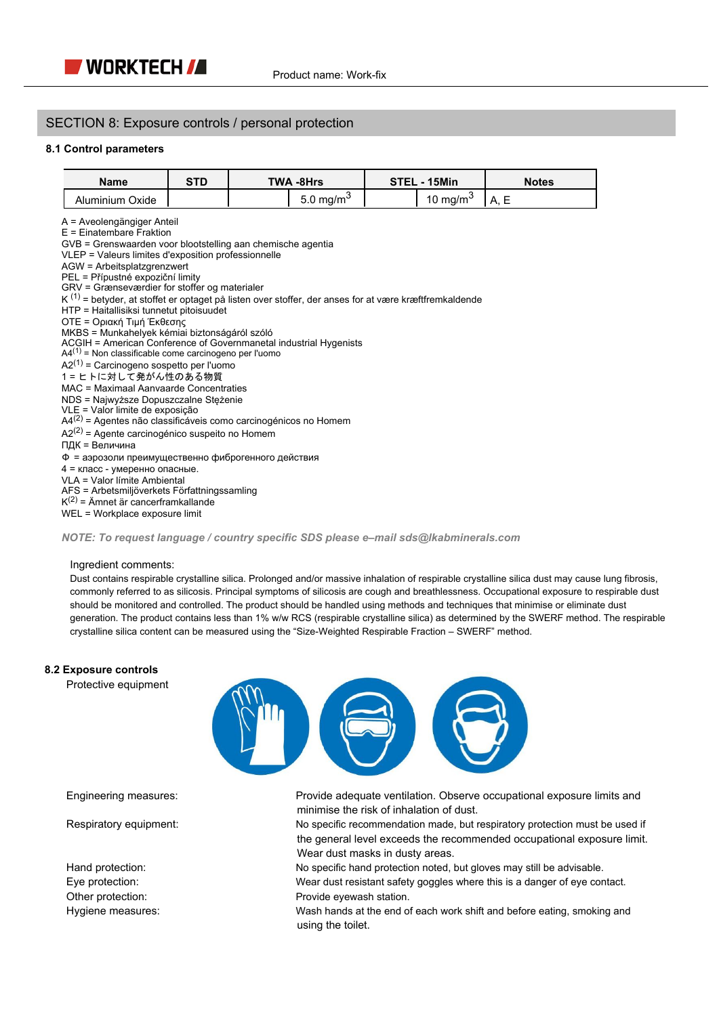### SECTION 8: Exposure controls / personal protection

### **8.1 Control parameters**

| Name            | <b>STD</b> | <b>TWA -8Hrs</b> |                    | STEL - 15Min |                      |      | <b>Notes</b> |
|-----------------|------------|------------------|--------------------|--------------|----------------------|------|--------------|
| Aluminium Oxide |            |                  | $5.0 \text{ mg/m}$ |              | 10 mg/m <sup>3</sup> | ' A. |              |

A = Aveolengängiger Anteil

E = Einatembare Fraktion

GVB = Grenswaarden voor blootstelling aan chemische agentia

VLEP = Valeurs limites d'exposition professionnelle

- AGW = Arbeitsplatzgrenzwert
- PEL = Přípustné expoziční limity

GRV = Grænseværdier for stoffer og materialer

- K <sup>(1)</sup> = betyder, at stoffet er optaget på listen over stoffer, der anses for at være kræftfremkaldende
- HTP = Haitallisiksi tunnetut pitoisuudet
- OTE = Οριακή Τιμή Έκθεσης

MKBS = Munkahelyek kémiai biztonságáról szóló ACGIH = American Conference of Governmanetal industrial Hygenists

 $A4^{(1)}$  = Non classificable come carcinogeno per l'uomo

 $A2^{(1)}$  = Carcinogeno sospetto per l'uomo

1 = ヒトに対して発がん性のある物質

MAC = Maximaal Aanvaarde Concentraties

- NDS = Najwyższe Dopuszczalne Stężenie
- VLE = Valor limite de exposição
- $A4<sup>(2)</sup>$  = Agentes não classificáveis como carcinogénicos no Homem
- $A2<sup>(2)</sup>$  = Agente carcinogénico suspeito no Homem
- ПДК = Величина

Ф = аэрозоли преимущественно фиброгенного действия

4 = класс - умеренно опасные.

VLA = Valor límite Ambiental

AFS = Arbetsmiljöverkets Författningssamling

K (2) = Ämnet är cancerframkallande

WEL = Workplace exposure limit

### *NOTE: To request language / country specific SDS please e–mail sds@lkabminerals.com*

#### Ingredient comments:

Dust contains respirable crystalline silica. Prolonged and/or massive inhalation of respirable crystalline silica dust may cause lung fibrosis, commonly referred to as silicosis. Principal symptoms of silicosis are cough and breathlessness. Occupational exposure to respirable dust should be monitored and controlled. The product should be handled using methods and techniques that minimise or eliminate dust generation. The product contains less than 1% w/w RCS (respirable crystalline silica) as determined by the SWERF method. The respirable crystalline silica content can be measured using the "Size-Weighted Respirable Fraction – SWERF" method.

### **8.2 Exposure controls**

Protective equipment



Engineering measures: Provide adequate ventilation. Observe occupational exposure limits and minimise the risk of inhalation of dust.

Respiratory equipment: No specific recommendation made, but respiratory protection must be used if the general level exceeds the recommended occupational exposure limit. Wear dust masks in dusty areas.

Hand protection: **No specific hand protection noted, but gloves may still be advisable.** 

Eye protection: Wear dust resistant safety goggles where this is a danger of eye contact. Other protection: exercise the provide eyewash station.

Hygiene measures: Wash hands at the end of each work shift and before eating, smoking and using the toilet.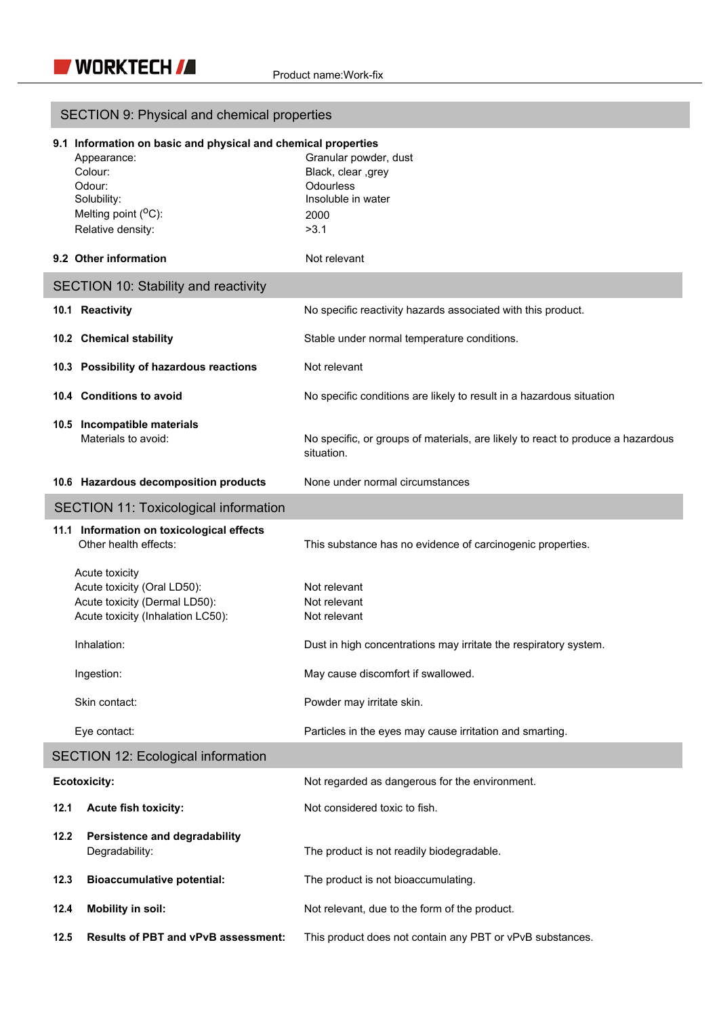I

| SECTION 9: Physical and chemical properties                                                                                                                      |                                                                                                       |  |  |  |
|------------------------------------------------------------------------------------------------------------------------------------------------------------------|-------------------------------------------------------------------------------------------------------|--|--|--|
| 9.1 Information on basic and physical and chemical properties<br>Appearance:<br>Colour:<br>Odour:<br>Solubility:<br>Melting point $(^0C)$ :<br>Relative density: | Granular powder, dust<br>Black, clear ,grey<br><b>Odourless</b><br>Insoluble in water<br>2000<br>>3.1 |  |  |  |
| 9.2 Other information                                                                                                                                            | Not relevant                                                                                          |  |  |  |
| <b>SECTION 10: Stability and reactivity</b>                                                                                                                      |                                                                                                       |  |  |  |
| 10.1 Reactivity                                                                                                                                                  | No specific reactivity hazards associated with this product.                                          |  |  |  |
| 10.2 Chemical stability                                                                                                                                          | Stable under normal temperature conditions.                                                           |  |  |  |
| 10.3 Possibility of hazardous reactions                                                                                                                          | Not relevant                                                                                          |  |  |  |
| 10.4 Conditions to avoid                                                                                                                                         | No specific conditions are likely to result in a hazardous situation                                  |  |  |  |
| 10.5 Incompatible materials<br>Materials to avoid:                                                                                                               | No specific, or groups of materials, are likely to react to produce a hazardous<br>situation.         |  |  |  |
| 10.6 Hazardous decomposition products                                                                                                                            | None under normal circumstances                                                                       |  |  |  |
| <b>SECTION 11: Toxicological information</b>                                                                                                                     |                                                                                                       |  |  |  |
| 11.1 Information on toxicological effects<br>Other health effects:                                                                                               | This substance has no evidence of carcinogenic properties.                                            |  |  |  |
| Acute toxicity<br>Acute toxicity (Oral LD50):<br>Acute toxicity (Dermal LD50):<br>Acute toxicity (Inhalation LC50):                                              | Not relevant<br>Not relevant<br>Not relevant                                                          |  |  |  |
| Inhalation:                                                                                                                                                      | Dust in high concentrations may irritate the respiratory system.                                      |  |  |  |
| Ingestion:                                                                                                                                                       | May cause discomfort if swallowed.                                                                    |  |  |  |
| Skin contact:                                                                                                                                                    | Powder may irritate skin.                                                                             |  |  |  |
| Eye contact:                                                                                                                                                     | Particles in the eyes may cause irritation and smarting.                                              |  |  |  |
| <b>SECTION 12: Ecological information</b>                                                                                                                        |                                                                                                       |  |  |  |
| <b>Ecotoxicity:</b>                                                                                                                                              | Not regarded as dangerous for the environment.                                                        |  |  |  |
| Acute fish toxicity:<br>12.1                                                                                                                                     | Not considered toxic to fish.                                                                         |  |  |  |
| 12.2<br>Persistence and degradability<br>Degradability:                                                                                                          | The product is not readily biodegradable.                                                             |  |  |  |
| <b>Bioaccumulative potential:</b><br>12.3                                                                                                                        | The product is not bioaccumulating.                                                                   |  |  |  |
| 12.4<br><b>Mobility in soil:</b>                                                                                                                                 | Not relevant, due to the form of the product.                                                         |  |  |  |
| 12.5<br>Results of PBT and vPvB assessment:                                                                                                                      | This product does not contain any PBT or vPvB substances.                                             |  |  |  |